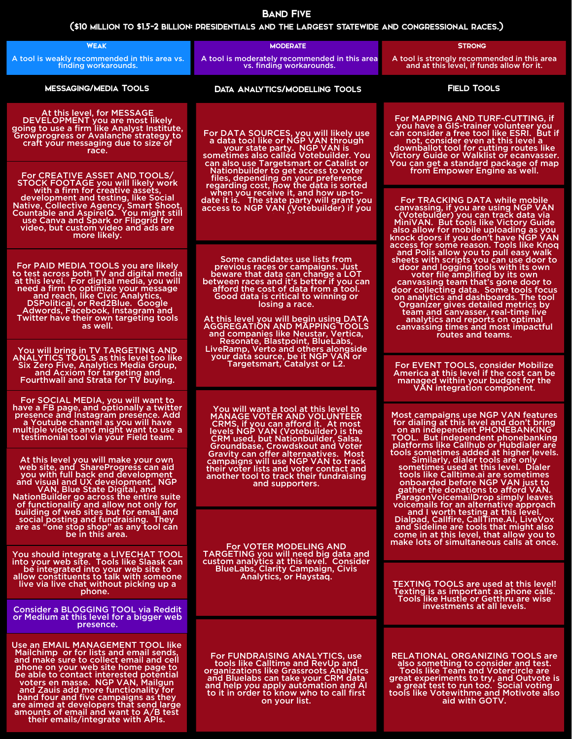You should integrate a LIVECHAT TOOL into your web site. Tools like Slaask can be integrated into your web site to allow constituents to talk with someone live via live chat without picking up a phone.

Use an EMAIL MANAGEMENT TOOL like Mailchimp or for lists and email sends, and make sure to collect email and cell phone on your web site home page to be able to contact interested potential voters en masse. NGP VAN, Mailgun and Zauis add more functionality for band four and five campaigns as they are aimed at developers that send large amounts of email and want to A/B test<br>their emails/integrate with APIs.

Consider a BLOGGING TOOL via Reddit or Medium at this level for a bigger web presence.

| presence and Instagram presence. Add    |  |
|-----------------------------------------|--|
| a Youtube channel as you will have      |  |
| multiple videos and might want to use a |  |
| testimonial tool via your Field team.   |  |
|                                         |  |

For FUNDRAISING ANALYTICS, use<br>tools like Calltime and RevUp and organizations like Grassroots Analytics and Bluelabs can take your CRM data and help you apply automation and AI to it in order to know who to call first on your list.

At this level you will make your own web site, and ShareProgress can aid you with full back end development and visual and UX development. NGP<br>VAN, Blue State Digital, and<br>NationBuilder go across the entire suite of functionality and allow not only for building of web sites but for email and social posting and fundraising. They are as "one stop shop" as any tool can be in this area.

| <b>WEAK</b>                                                                                                                                                                                                                                                                                                                                    | <b>MODERATE</b>                                                                                                                                                                                                                                                                                                                                                                  | <b>STRONG</b>                                                                                                                                                                                                                                                                                                                                                                                                                                                                                                |  |
|------------------------------------------------------------------------------------------------------------------------------------------------------------------------------------------------------------------------------------------------------------------------------------------------------------------------------------------------|----------------------------------------------------------------------------------------------------------------------------------------------------------------------------------------------------------------------------------------------------------------------------------------------------------------------------------------------------------------------------------|--------------------------------------------------------------------------------------------------------------------------------------------------------------------------------------------------------------------------------------------------------------------------------------------------------------------------------------------------------------------------------------------------------------------------------------------------------------------------------------------------------------|--|
| A tool is weakly recommended in this area vs.<br>finding workarounds.                                                                                                                                                                                                                                                                          | A tool is moderately recommended in this area<br>vs. finding workarounds.                                                                                                                                                                                                                                                                                                        | A tool is strongly recommended in this area<br>and at this level, if funds allow for it.                                                                                                                                                                                                                                                                                                                                                                                                                     |  |
| <b>MESSAGING/MEDIA TOOLS</b>                                                                                                                                                                                                                                                                                                                   | <b>DATA ANALYTICS/MODELLING TOOLS</b>                                                                                                                                                                                                                                                                                                                                            | <b>FIELD TOOLS</b>                                                                                                                                                                                                                                                                                                                                                                                                                                                                                           |  |
| At this level, for MESSAGE<br>DEVELOPMENT you are most likely<br>going to use a firm like Analyst Institute,<br>Growprogress or Avalanche strategy to<br>craft your messaging due to size of<br>race.                                                                                                                                          | For DATA SOURCES, you will likely use<br>a data tool like or NGP VAN through<br>your state party. NGP VAN is<br>sometimes also called Votebuilder. You<br>can also use Targetsmart or Catalist or                                                                                                                                                                                | For MAPPING AND TURF-CUTTING, if<br>you have a GIS-trainer volunteer you<br>can consider a free tool like ESRI. But if<br>not, consider even at this level a<br>downballot tool for cutting routes like<br>Victory Guide or Walklist or ecanvasser.<br>You can get a standard package of map                                                                                                                                                                                                                 |  |
| For CREATIVE ASSET AND TOOLS/<br>STOCK FOOTAGE you will likely work                                                                                                                                                                                                                                                                            | Nationbuilder to get access to voter<br>files, depending on your preference<br>regarding cost, how the data is sorted                                                                                                                                                                                                                                                            | from Empower Engine as well.                                                                                                                                                                                                                                                                                                                                                                                                                                                                                 |  |
| with a firm for creative assets,<br>development and testing, like Social<br>Native, Collective Agency, Smart Shoot,<br>Countable and AspirelQ. You might still<br>use Canva and Spark or Flipgrid for<br>video, but custom video and ads are<br>more likely.                                                                                   | when you receive it, and how up-to-<br>date it is. The state party will grant you<br>access to NGP VAN (Votebuilder) if you                                                                                                                                                                                                                                                      | For TRACKING DATA while mobile<br>canvassing, if you are using NGP VAN<br>(Votebulder) you can track data via<br>MiniVAN. But tools like Victory Guide<br>also allow for mobile uploading as you<br>knock doors if you don't have NGP VAN                                                                                                                                                                                                                                                                    |  |
| For PAID MEDIA TOOLS you are likely<br>to test across both TV and digital media<br>at this level. For digital media, you will<br>need a firm to optimize your message<br>and reach, like Civic Analytics,<br>DSPolitical, or Red2Blue. Google<br><b>Adwords, Facebook, Instagram and</b><br>Twitter have their own targeting tools<br>as well. | Some candidates use lists from<br>previous races or campaigns. Just<br>beware that data can change a LOT<br>between races and it's better if you can<br>afford the cost of data from a tool.<br>Good data is critical to winning or<br>losing a race.<br>At this level you will begin using DATA<br><b>AGGREGATION AND MAPPING TOOLS</b><br>and companies like Neustar, Vertica, | access for some reason. Tools like Knoq<br>and Polis allow you to pull easy walk<br>sheets with scripts you can use door to<br>door and logging tools with its own<br>voter file amplified by its own<br>canvassing team that's gone door to<br>door collecting data. Some tools focus<br>on analytics and dashboards. The tool<br>Organizer gives detailed metrics by<br>team and canvasser, real-time live<br>analytics and reports on optimal<br>canvassing times and most impactful<br>routes and teams. |  |
| You will bring in TV TARGETING AND<br><b>ANALYTICS TOOLS as this level too like</b>                                                                                                                                                                                                                                                            | Resonate, Blastpoint, BlueLabs,<br>LiveRamp, Verto and others alongside<br>your data source, be it NGP VAN or                                                                                                                                                                                                                                                                    |                                                                                                                                                                                                                                                                                                                                                                                                                                                                                                              |  |
| Six Zero Five, Analytics Media Group,<br>and Acxiom for targeting and<br>Fourthwall and Strata for TV buying.                                                                                                                                                                                                                                  | Targetsmart, Catalyst or L2.                                                                                                                                                                                                                                                                                                                                                     | For EVENT TOOLS, consider Mobilize<br>America at this level if the cost can be<br>managed within your budget for the<br><b>VAN integration component.</b>                                                                                                                                                                                                                                                                                                                                                    |  |
| For SOCIAL MEDIA, you will want to<br>have a FB page, and optionally a twitter<br>presence and Instagram presence. Add                                                                                                                                                                                                                         | You will want a tool at this level to<br><b>MANAGE VOTER AND VOLUNTEER</b>                                                                                                                                                                                                                                                                                                       | Most campaigns use NGP VAN features                                                                                                                                                                                                                                                                                                                                                                                                                                                                          |  |

CRMS, if you can afford it. At most levels NGP VAN (Votebuilder) is the CRM used, but Nationbuilder, Salsa, Groundbase, Crowdskout and Voter Gravity can offer alternaatives. Most campaigns will use NGP VAN to track their voter lists and voter contact and another tool to track their fundraising and supporters.

For VOTER MODELING AND TARGETING you will need big data and custom analytics at this level. Consider BlueLabs, Clarity Campaign, Civis Analytics, or Haystaq.

> RELATIONAL ORGANIZING TOOLS are also something to consider and test. Tools like Team and Votercircle are great experiments to try, and Outvote is a great test to run too. Social voting tools like Votewithme and Motivote also aid with GOTV.

for dialing at this level and don't bring on an independent PHONEBANKING TOOL. But independent phonebanking platforms like Callhub or Hubdialer are

tools sometimes added at higher levels. Similarly, dialer tools are only sometimes used at this level. Dialer tools like Calltime.ai are sometimes onboarded before NGP VAN just to gather the donations to afford VAN. ParagonVoicemailDrop simply leaves<br>voicemails for an alternative approach and I worth testing at this level.<br>Dialpad, Callfire, CallTime.AI, LiveVox and Sideline are tools that might also come in at this level, that allow you to make lots of simultaneous calls at once.

TEXTING TOOLS are used at this level! Texting is as important as phone calls. Tools like Hustle or Getthru are wise investments at all levels.

## (\$10 million to \$1.5-2 billion: presidentials and the largest statewide and congressional races.)

## Band Five